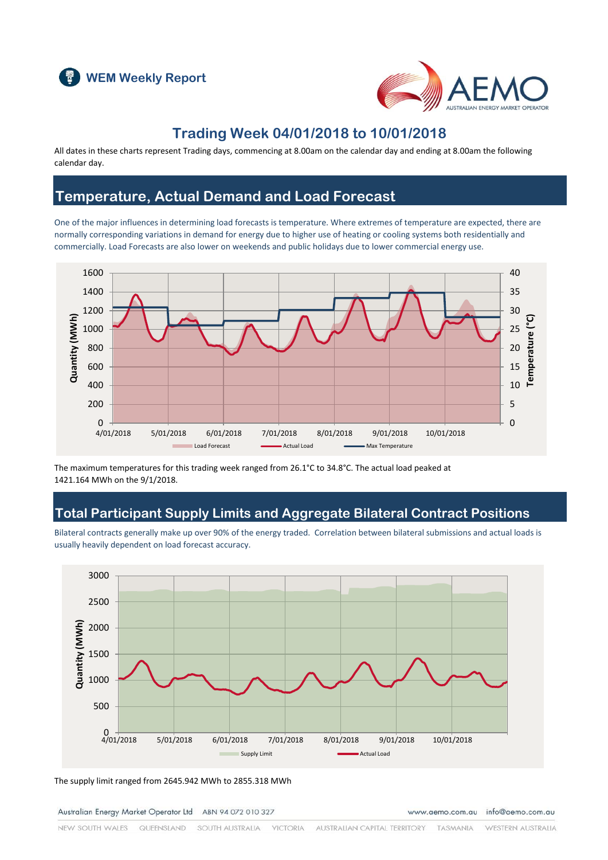



## **Trading Week 04/01/2018 to 10/01/2018**

All dates in these charts represent Trading days, commencing at 8.00am on the calendar day and ending at 8.00am the following calendar day.

## **Temperature, Actual Demand and Load Forecast**

One of the major influences in determining load forecasts is temperature. Where extremes of temperature are expected, there are normally corresponding variations in demand for energy due to higher use of heating or cooling systems both residentially and commercially. Load Forecasts are also lower on weekends and public holidays due to lower commercial energy use.



The maximum temperatures for this trading week ranged from 26.1°C to 34.8°C. The actual load peaked at 1421.164 MWh on the 9/1/2018.

## **Total Participant Supply Limits and Aggregate Bilateral Contract Positions**

Bilateral contracts generally make up over 90% of the energy traded. Correlation between bilateral submissions and actual loads is usually heavily dependent on load forecast accuracy.



The supply limit ranged from 2645.942 MWh to 2855.318 MWh

Australian Energy Market Operator Ltd ABN 94 072 010 327

www.aemo.com.au info@aemo.com.au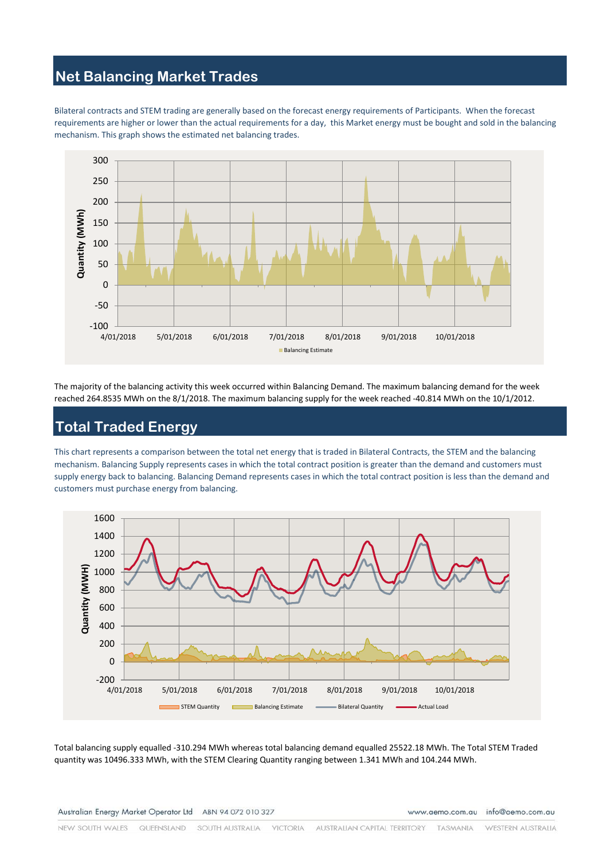## **Net Balancing Market Trades**

Bilateral contracts and STEM trading are generally based on the forecast energy requirements of Participants. When the forecast requirements are higher or lower than the actual requirements for a day, this Market energy must be bought and sold in the balancing mechanism. This graph shows the estimated net balancing trades.



The majority of the balancing activity this week occurred within Balancing Demand. The maximum balancing demand for the week reached 264.8535 MWh on the 8/1/2018. The maximum balancing supply for the week reached -40.814 MWh on the 10/1/2012.

# **Total Traded Energy**

This chart represents a comparison between the total net energy that is traded in Bilateral Contracts, the STEM and the balancing mechanism. Balancing Supply represents cases in which the total contract position is greater than the demand and customers must supply energy back to balancing. Balancing Demand represents cases in which the total contract position is less than the demand and customers must purchase energy from balancing.



Total balancing supply equalled -310.294 MWh whereas total balancing demand equalled 25522.18 MWh. The Total STEM Traded quantity was 10496.333 MWh, with the STEM Clearing Quantity ranging between 1.341 MWh and 104.244 MWh.

www.aemo.com.au info@aemo.com.au